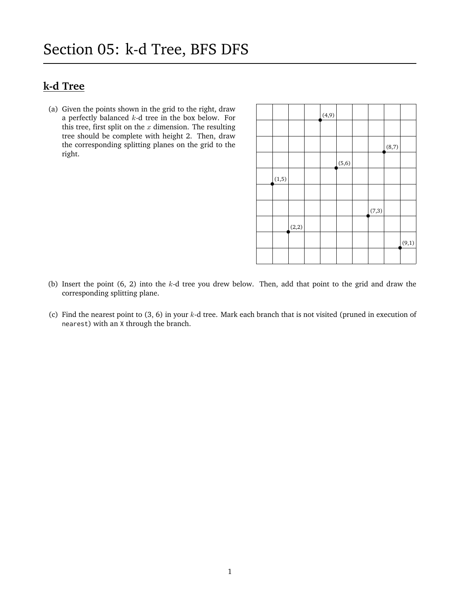## **k-d Tree**

(a) Given the points shown in the grid to the right, draw a perfectly balanced  $k$ -d tree in the box below. For this tree, first split on the  $x$  dimension. The resulting tree should be complete with height 2. Then, draw the corresponding splitting planes on the grid to the right.

|        |       | (4, 9) |        |       |       |       |
|--------|-------|--------|--------|-------|-------|-------|
|        |       |        |        |       |       |       |
|        |       |        |        |       | (8,7) |       |
|        |       |        | (5, 6) |       |       |       |
| (1, 5) |       |        |        |       |       |       |
|        |       |        |        |       |       |       |
|        |       |        |        | (7,3) |       |       |
|        | (2,2) |        |        |       |       |       |
|        |       |        |        |       |       | (9,1) |
|        |       |        |        |       |       |       |

- (b) Insert the point  $(6, 2)$  into the  $k$ -d tree you drew below. Then, add that point to the grid and draw the corresponding splitting plane.
- (c) Find the nearest point to  $(3, 6)$  in your k-d tree. Mark each branch that is not visited (pruned in execution of nearest) with an X through the branch.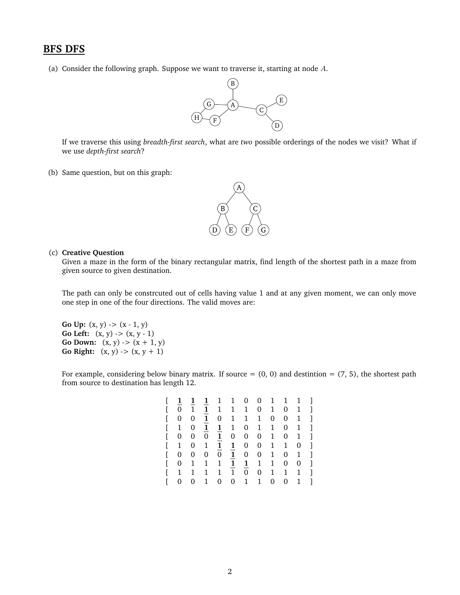## **BFS DFS**

(a) Consider the following graph. Suppose we want to traverse it, starting at node  $A$ .



If we traverse this using *breadth-first search*, what are *two* possible orderings of the nodes we visit? What if we use *depth-first search*?

(b) Same question, but on this graph:



## (c) **Creative Question**

Given a maze in the form of the binary rectangular matrix, find length of the shortest path in a maze from given source to given destination.

The path can only be constrcuted out of cells having value 1 and at any given moment, we can only move one step in one of the four directions. The valid moves are:

**Go Up:**  $(x, y)$   $\rightarrow$   $(x - 1, y)$ **Go Left:**  $(x, y)$   $\rightarrow$   $(x, y - 1)$ **Go Down:**  $(x, y)$  ->  $(x + 1, y)$ **Go Right:**  $(x, y)$  ->  $(x, y + 1)$ 

For example, considering below binary matrix. If source  $= (0, 0)$  and destintion  $= (7, 5)$ , the shortest path from source to destination has length 12.

| L | 1            | 1            | $\mathbf{1}$ | 1              | 1            |              | $0 \quad 0 \quad 1$ |              | $\mathbf{1}$ | -1 |   |
|---|--------------|--------------|--------------|----------------|--------------|--------------|---------------------|--------------|--------------|----|---|
| ſ | 0            | $\mathbf{1}$ | $\mathbf{1}$ | $\mathbf{1}$   | 1            | $\mathbf 1$  | $\mathbf{0}$        | 1            | 0            | 1  | ı |
| ſ | 0            | 0            | 1            | 0              | 1            | 1            | 1                   | 0            | 0            | 1  | 1 |
| E | 1            | 0            | $\mathbf{1}$ | $\mathbf{1}$   | $\mathbf{1}$ | 0            | $\mathbf{1}$        | 1            | 0            | 1  | ı |
| E | 0            | 0            | 0            | $\mathbf{1}$   | 0            | $\mathbf{0}$ | $\mathbf{0}$        | 1            | 0            | 1  | ı |
| E | 1            | 0            | $\mathbf{1}$ | 1              | 1            | 0            | $\mathbf{0}$        | $\mathbf{1}$ | 1            | 0  | ı |
| L | 0            | 0            | 0            | $\overline{0}$ | $\mathbf{1}$ | $\mathbf{0}$ | 0                   | 1            | 0            | 1  | 1 |
| L | 0            | 1            | 1            | 1              | $\mathbf{1}$ | $\mathbf{1}$ | $\mathbf{1}$        | 1            | 0            | 0  | 1 |
| E | $\mathbf{1}$ | 1            | 1            | $\mathbf{1}$   | $\mathbf{1}$ | $0^-$        | 0                   | $\mathbf{1}$ | 1            | 1  | ı |
| L | 0            | 0            | 1            | 0              | 0            | $\mathbf{1}$ | $\mathbf{1}$        | 0            | 0            | 1  | ı |